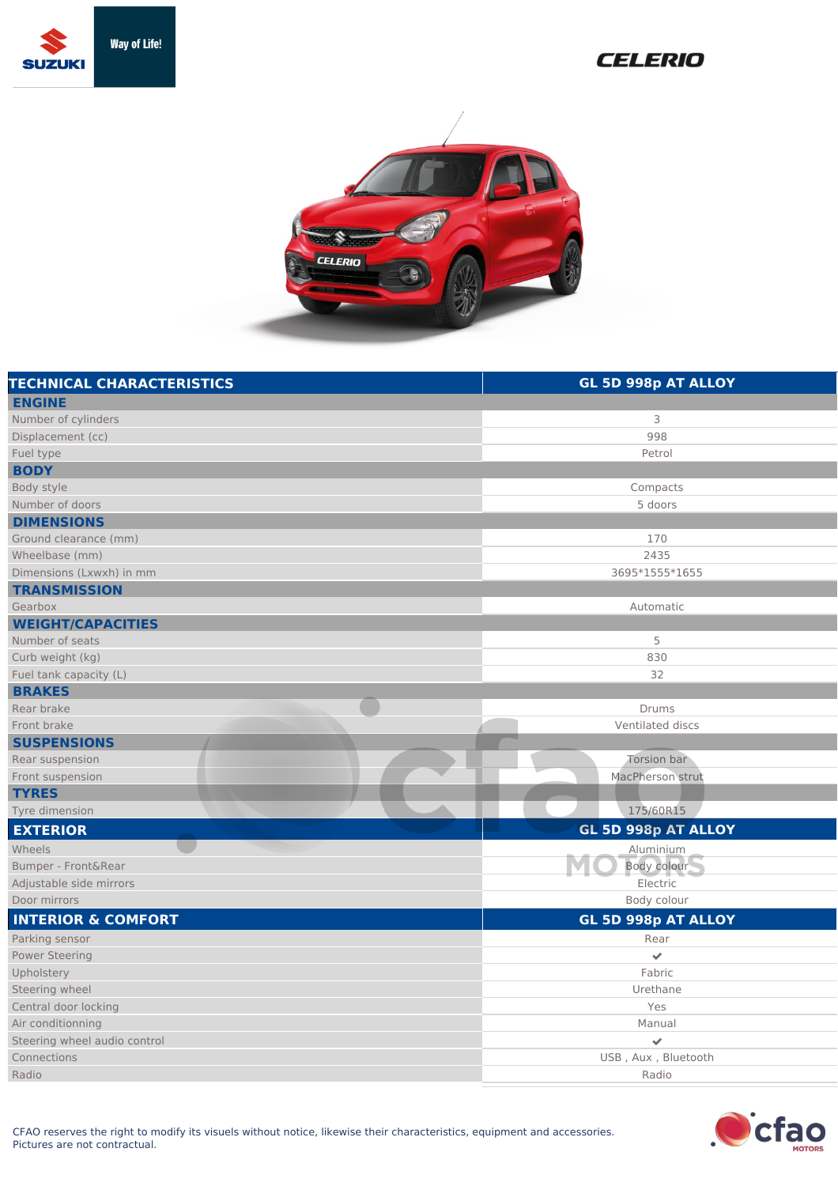

## **CELERIO**



| <b>TECHNICAL CHARACTERISTICS</b> | GL 5D 998p AT ALLOY     |
|----------------------------------|-------------------------|
| <b>ENGINE</b>                    |                         |
| Number of cylinders              | 3                       |
| Displacement (cc)                | 998                     |
| Fuel type                        | Petrol                  |
| <b>BODY</b>                      |                         |
| Body style                       | Compacts                |
| Number of doors                  | 5 doors                 |
| <b>DIMENSIONS</b>                |                         |
| Ground clearance (mm)            | 170                     |
| Wheelbase (mm)                   | 2435                    |
| Dimensions (Lxwxh) in mm         | 3695*1555*1655          |
| <b>TRANSMISSION</b>              |                         |
| Gearbox                          | Automatic               |
| <b>WEIGHT/CAPACITIES</b>         |                         |
| Number of seats                  | 5                       |
| Curb weight (kg)                 | 830                     |
| Fuel tank capacity (L)           | 32                      |
| <b>BRAKES</b>                    |                         |
| Rear brake                       | Drums                   |
| Front brake                      | Ventilated discs        |
| <b>SUSPENSIONS</b>               |                         |
| Rear suspension                  | Torsion bar             |
| Front suspension                 | MacPherson strut        |
| <b>TYRES</b>                     |                         |
| Tyre dimension                   | 175/60R15               |
| <b>EXTERIOR</b>                  | GL 5D 998p AT ALLOY     |
| Wheels                           | Aluminium               |
| Bumper - Front&Rear              | Body colour             |
| Adjustable side mirrors          | Electric                |
| Door mirrors                     | Body colour             |
| <b>INTERIOR &amp; COMFORT</b>    | GL 5D 998p AT ALLOY     |
| Parking sensor                   | Rear                    |
| <b>Power Steering</b>            | $\checkmark$            |
| Upholstery                       | Fabric                  |
| Steering wheel                   | Urethane                |
| Central door locking             | Yes                     |
| Air conditionning                | Manual                  |
| Steering wheel audio control     | $\overline{\mathbf{v}}$ |
| Connections                      | USB, Aux, Bluetooth     |
| Radio                            | Radio                   |